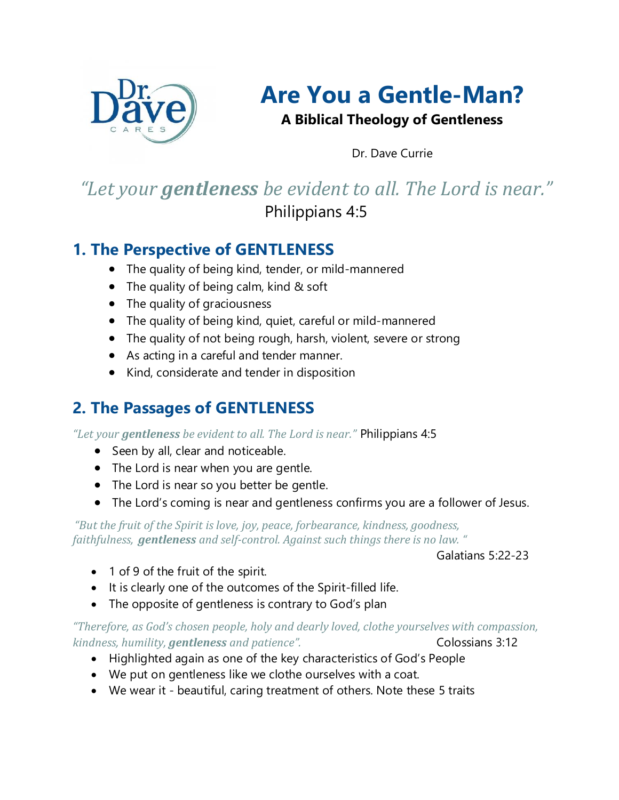

# **Are You a Gentle-Man?**

**A Biblical Theology of Gentleness**

Dr. Dave Currie

## *"Let your gentleness be evident to all. The Lord is near."* Philippians 4:5

#### **1. The Perspective of GENTLENESS**

- The quality of being kind, tender, or mild-mannered
- The quality of being calm, kind & soft
- The quality of graciousness
- The quality of being kind, quiet, careful or mild-mannered
- The quality of not being rough, harsh, violent, severe or strong
- As acting in a careful and tender manner.
- Kind, considerate and tender in disposition

### **2. The Passages of GENTLENESS**

*"Let your gentleness be evident to all. The Lord is near."* Philippians 4:5

- Seen by all, clear and noticeable.
- The Lord is near when you are gentle.
- The Lord is near so you better be gentle.
- The Lord's coming is near and gentleness confirms you are a follower of Jesus.

*"But the fruit of the Spirit is love, joy, peace, forbearance, kindness, goodness, faithfulness, gentleness and self-control. Against such things there is no law. "*

Galatians 5:22-23

- 1 of 9 of the fruit of the spirit.
- It is clearly one of the outcomes of the Spirit-filled life.
- The opposite of gentleness is contrary to God's plan

*"Therefore, as God's chosen people, holy and dearly loved, clothe yourselves with compassion, kindness, humility, gentleness and patience".* Colossians 3:12

- Highlighted again as one of the key characteristics of God's People
- We put on gentleness like we clothe ourselves with a coat.
- We wear it beautiful, caring treatment of others. Note these 5 traits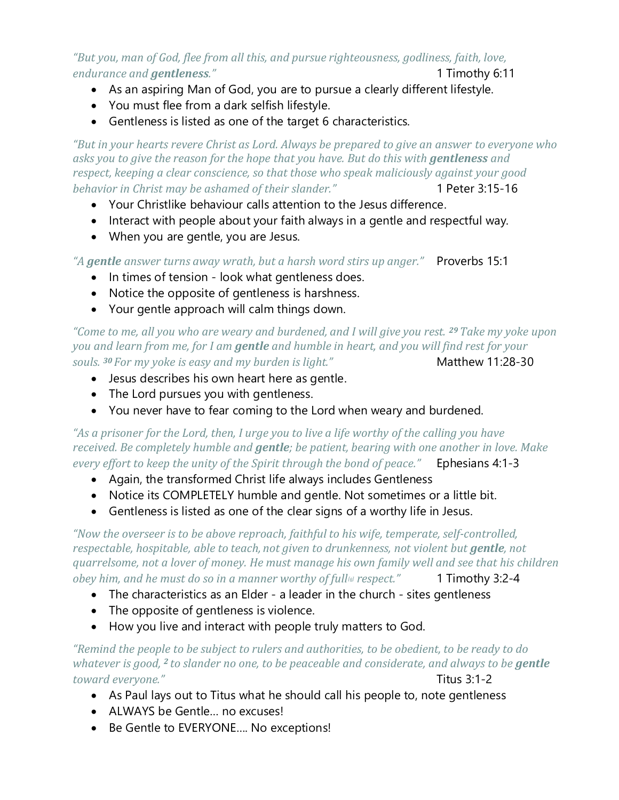*"But you, man of God, flee from all this, and pursue righteousness, godliness, faith, love, endurance and gentleness."* 1 Timothy 6:11

- As an aspiring Man of God, you are to pursue a clearly different lifestyle.
- You must flee from a dark selfish lifestyle.
- Gentleness is listed as one of the target 6 characteristics.

*"But in your hearts revere Christ as Lord. Always be prepared to give an answer to everyone who asks you to give the reason for the hope that you have. But do this with gentleness and respect, keeping a clear conscience, so that those who speak maliciously against your good behavior in Christ may be ashamed of their slander.*<sup>"</sup> 1 Peter 3:15-16

- Your Christlike behaviour calls attention to the Jesus difference.
- Interact with people about your faith always in a gentle and respectful way.
- When you are gentle, you are Jesus.

*"A gentle answer turns away wrath, but a harsh word stirs up anger."* Proverbs 15:1

- In times of tension look what gentleness does.
- Notice the opposite of gentleness is harshness.
- Your gentle approach will calm things down.

*"Come to me, all you who are weary and burdened, and I will give you rest. <sup>29</sup>Take my yoke upon you and learn from me, for I am gentle and humble in heart, and you will find rest for your souls.* <sup>30</sup> For my yoke is easy and my burden is light." Matthew 11:28-30

- Jesus describes his own heart here as gentle.
- The Lord pursues you with gentleness.
- You never have to fear coming to the Lord when weary and burdened.

*"As a prisoner for the Lord, then, I urge you to live a life worthy of the calling you have received. Be completely humble and gentle; be patient, bearing with one another in love. Make every effort to keep the unity of the Spirit through the bond of peace."* Ephesians 4:1-3

- Again, the transformed Christ life always includes Gentleness
- Notice its COMPLETELY humble and gentle. Not sometimes or a little bit.
- Gentleness is listed as one of the clear signs of a worthy life in Jesus.

*"Now the overseer is to be above reproach, faithful to his wife, temperate, self-controlled, respectable, hospitable, able to teach, not given to drunkenness, not violent but gentle, not quarrelsome, not a lover of money. He must manage his own family well and see that his children obey him, and he must do so in a manner worthy of full<sup>[\[a\]](https://www.biblegateway.com/passage/?search=1%20Timothy%203%3A2%2D4&version=NIV#fen-NIV-29736a)</sup> respect."* 1 Timothy 3:2-4

- The characteristics as an Elder a leader in the church sites gentleness
- The opposite of gentleness is violence.
- How you live and interact with people truly matters to God.

*"Remind the people to be subject to rulers and authorities, to be obedient, to be ready to do whatever is good, <sup>2</sup> to slander no one, to be peaceable and considerate, and always to be gentle toward everyone."* Titus 3:1-2

- As Paul lays out to Titus what he should call his people to, note gentleness
- ALWAYS be Gentle… no excuses!
- Be Gentle to EVERYONE…. No exceptions!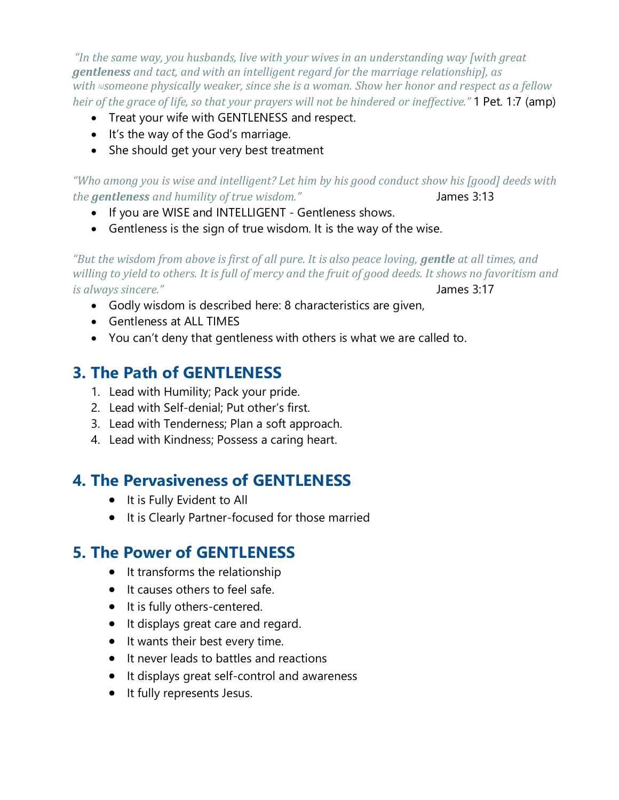*"In the same way, you husbands, live with your wives in an understanding way [with great gentleness and tact, and with an intelligent regard for the marriage relationship], as with [\[c\]](https://www.biblegateway.com/passage/?search=1+Peter+3&version=AMP#fen-AMP-30432c)someone physically weaker, since she is a woman. Show her honor and respect as a fellow heir of the grace of life, so that your prayers will not be hindered or ineffective."* 1 Pet. 1:7 (amp)

- Treat your wife with GENTLENESS and respect.
- It's the way of the God's marriage.
- She should get your very best treatment

*"Who among you is wise and intelligent? Let him by his good conduct show his [good] deeds with the* gentleness and humility of true wisdom." Shames 3:13

- If you are WISE and INTELLIGENT Gentleness shows.
- Gentleness is the sign of true wisdom. It is the way of the wise.

*"But the wisdom from above is first of all pure. It is also peace loving, gentle at all times, and willing to yield to others. It is full of mercy and the fruit of good deeds. It shows no favoritism and is always sincere."* James 3:17

- Godly wisdom is described here: 8 characteristics are given,
- Gentleness at ALL TIMES
- You can't deny that gentleness with others is what we are called to.

#### **3. The Path of GENTLENESS**

- 1. Lead with Humility; Pack your pride.
- 2. Lead with Self-denial; Put other's first.
- 3. Lead with Tenderness; Plan a soft approach.
- 4. Lead with Kindness; Possess a caring heart.

#### **4. The Pervasiveness of GENTLENESS**

- It is Fully Evident to All
- It is Clearly Partner-focused for those married

#### **5. The Power of GENTLENESS**

- It transforms the relationship
- It causes others to feel safe.
- It is fully others-centered.
- It displays great care and regard.
- It wants their best every time.
- It never leads to battles and reactions
- It displays great self-control and awareness
- It fully represents Jesus.